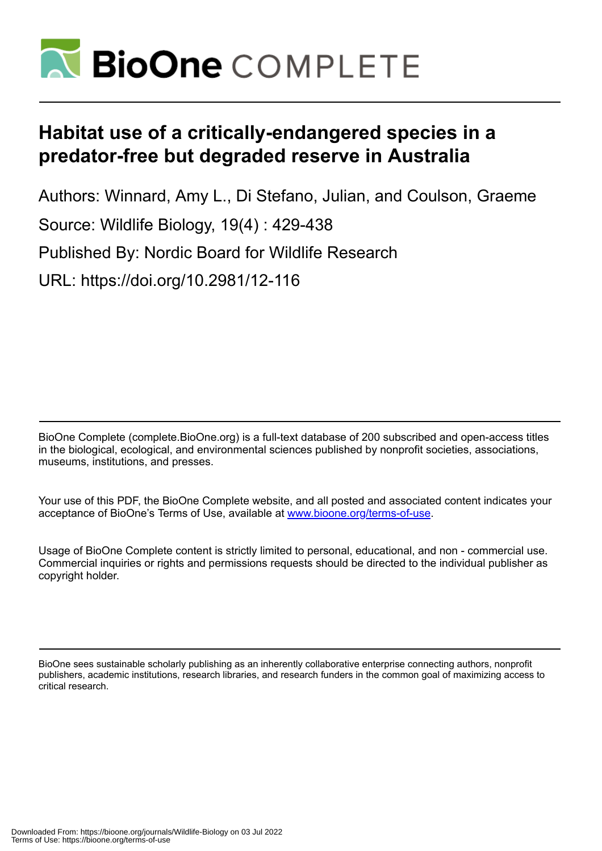

# **Habitat use of a critically-endangered species in a predator-free but degraded reserve in Australia**

Authors: Winnard, Amy L., Di Stefano, Julian, and Coulson, Graeme Source: Wildlife Biology, 19(4) : 429-438 Published By: Nordic Board for Wildlife Research URL: https://doi.org/10.2981/12-116

BioOne Complete (complete.BioOne.org) is a full-text database of 200 subscribed and open-access titles in the biological, ecological, and environmental sciences published by nonprofit societies, associations, museums, institutions, and presses.

Your use of this PDF, the BioOne Complete website, and all posted and associated content indicates your acceptance of BioOne's Terms of Use, available at www.bioone.org/terms-of-use.

Usage of BioOne Complete content is strictly limited to personal, educational, and non - commercial use. Commercial inquiries or rights and permissions requests should be directed to the individual publisher as copyright holder.

BioOne sees sustainable scholarly publishing as an inherently collaborative enterprise connecting authors, nonprofit publishers, academic institutions, research libraries, and research funders in the common goal of maximizing access to critical research.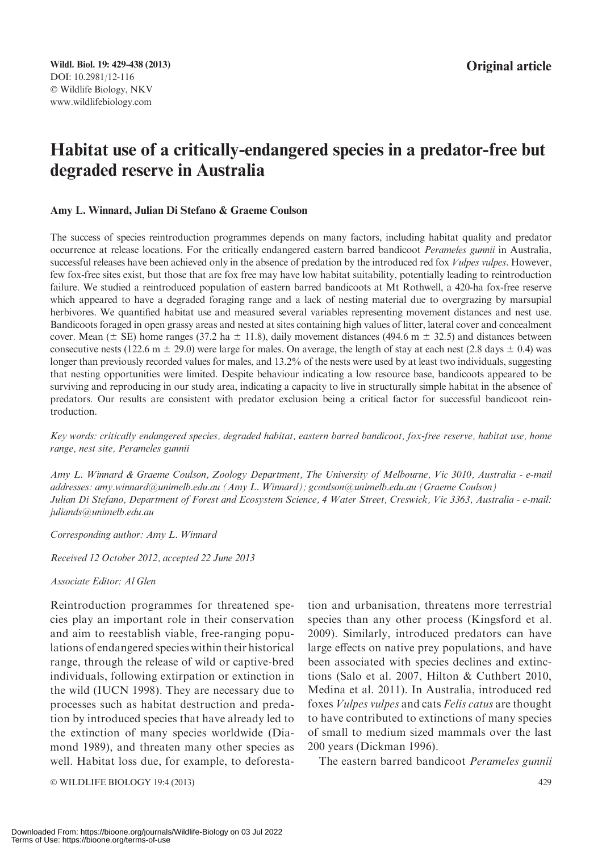# Habitat use of a critically-endangered species in a predator-free but degraded reserve in Australia

#### Amy L. Winnard, Julian Di Stefano & Graeme Coulson

The success of species reintroduction programmes depends on many factors, including habitat quality and predator occurrence at release locations. For the critically endangered eastern barred bandicoot Perameles gunnii in Australia, successful releases have been achieved only in the absence of predation by the introduced red fox *Vulpes vulpes*. However, few fox-free sites exist, but those that are fox free may have low habitat suitability, potentially leading to reintroduction failure. We studied a reintroduced population of eastern barred bandicoots at Mt Rothwell, a 420-ha fox-free reserve which appeared to have a degraded foraging range and a lack of nesting material due to overgrazing by marsupial herbivores. We quantified habitat use and measured several variables representing movement distances and nest use. Bandicoots foraged in open grassy areas and nested at sites containing high values of litter, lateral cover and concealment cover. Mean ( $\pm$  SE) home ranges (37.2 ha  $\pm$  11.8), daily movement distances (494.6 m  $\pm$  32.5) and distances between consecutive nests (122.6 m  $\pm$  29.0) were large for males. On average, the length of stay at each nest (2.8 days  $\pm$  0.4) was longer than previously recorded values for males, and 13.2% of the nests were used by at least two individuals, suggesting that nesting opportunities were limited. Despite behaviour indicating a low resource base, bandicoots appeared to be surviving and reproducing in our study area, indicating a capacity to live in structurally simple habitat in the absence of predators. Our results are consistent with predator exclusion being a critical factor for successful bandicoot reintroduction.

Key words: critically endangered species, degraded habitat, eastern barred bandicoot, fox-free reserve, habitat use, home range, nest site, Perameles gunnii

Amy L. Winnard & Graeme Coulson, Zoology Department, The University of Melbourne, Vic 3010, Australia - e-mail addresses: amy.winnard@unimelb.edu.au (Amy L. Winnard); gcoulson@unimelb.edu.au (Graeme Coulson) Julian Di Stefano, Department of Forest and Ecosystem Science, 4 Water Street, Creswick, Vic 3363, Australia - e-mail: juliands@unimelb.edu.au

Corresponding author: Amy L. Winnard

Received 12 October 2012, accepted 22 June 2013

Associate Editor: Al Glen

Reintroduction programmes for threatened species play an important role in their conservation and aim to reestablish viable, free-ranging populations of endangered species within their historical range, through the release of wild or captive-bred individuals, following extirpation or extinction in the wild (IUCN 1998). They are necessary due to processes such as habitat destruction and predation by introduced species that have already led to the extinction of many species worldwide (Diamond 1989), and threaten many other species as well. Habitat loss due, for example, to deforesta-

© WILDLIFE BIOLOGY 19:4 (2013) 429

tion and urbanisation, threatens more terrestrial species than any other process (Kingsford et al. 2009). Similarly, introduced predators can have large effects on native prey populations, and have been associated with species declines and extinctions (Salo et al. 2007, Hilton & Cuthbert 2010, Medina et al. 2011). In Australia, introduced red foxes Vulpes vulpes and cats Felis catus are thought to have contributed to extinctions of many species of small to medium sized mammals over the last 200 years (Dickman 1996).

The eastern barred bandicoot Perameles gunnii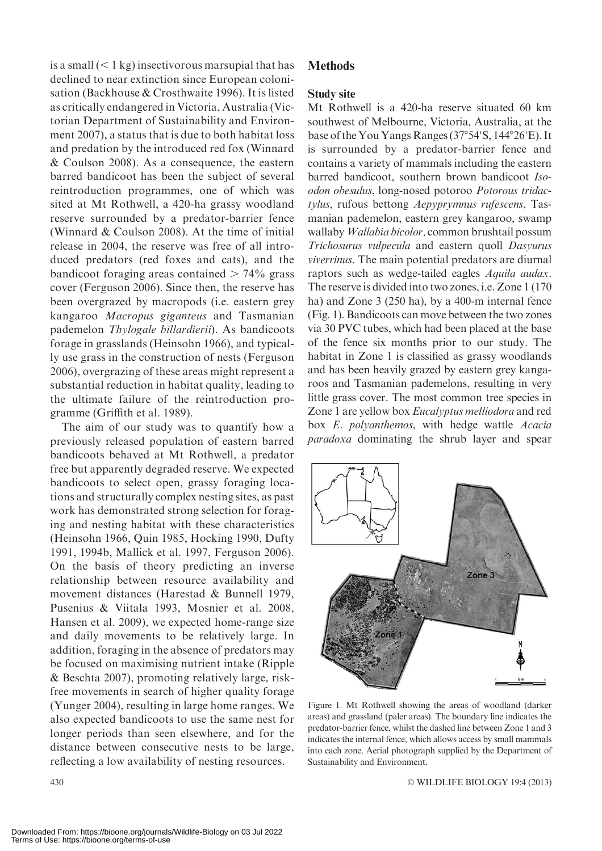is a small  $(< 1 \text{ kg})$  insectivorous marsupial that has declined to near extinction since European colonisation (Backhouse & Crosthwaite 1996). It is listed as critically endangered in Victoria, Australia (Victorian Department of Sustainability and Environment 2007), a status that is due to both habitat loss and predation by the introduced red fox (Winnard & Coulson 2008). As a consequence, the eastern barred bandicoot has been the subject of several reintroduction programmes, one of which was sited at Mt Rothwell, a 420-ha grassy woodland reserve surrounded by a predator-barrier fence (Winnard & Coulson 2008). At the time of initial release in 2004, the reserve was free of all introduced predators (red foxes and cats), and the bandicoot foraging areas contained  $> 74\%$  grass cover (Ferguson 2006). Since then, the reserve has been overgrazed by macropods (i.e. eastern grey kangaroo Macropus giganteus and Tasmanian pademelon Thylogale billardierii). As bandicoots forage in grasslands (Heinsohn 1966), and typically use grass in the construction of nests (Ferguson 2006), overgrazing of these areas might represent a substantial reduction in habitat quality, leading to the ultimate failure of the reintroduction programme (Griffith et al. 1989).

The aim of our study was to quantify how a previously released population of eastern barred bandicoots behaved at Mt Rothwell, a predator free but apparently degraded reserve. We expected bandicoots to select open, grassy foraging locations and structurally complex nesting sites, as past work has demonstrated strong selection for foraging and nesting habitat with these characteristics (Heinsohn 1966, Quin 1985, Hocking 1990, Dufty 1991, 1994b, Mallick et al. 1997, Ferguson 2006). On the basis of theory predicting an inverse relationship between resource availability and movement distances (Harestad & Bunnell 1979, Pusenius & Viitala 1993, Mosnier et al. 2008, Hansen et al. 2009), we expected home-range size and daily movements to be relatively large. In addition, foraging in the absence of predators may be focused on maximising nutrient intake (Ripple & Beschta 2007), promoting relatively large, riskfree movements in search of higher quality forage (Yunger 2004), resulting in large home ranges. We also expected bandicoots to use the same nest for longer periods than seen elsewhere, and for the distance between consecutive nests to be large, **Methods** 

# Study site

Mt Rothwell is a 420-ha reserve situated 60 km southwest of Melbourne, Victoria, Australia, at the base of the You Yangs Ranges (37°54'S, 144°26'E). It is surrounded by a predator-barrier fence and contains a variety of mammals including the eastern barred bandicoot, southern brown bandicoot Isoodon obesulus, long-nosed potoroo Potorous tridactylus, rufous bettong Aepyprymnus rufescens, Tasmanian pademelon, eastern grey kangaroo, swamp wallaby Wallabia bicolor, common brushtail possum Trichosurus vulpecula and eastern quoll Dasyurus viverrinus. The main potential predators are diurnal raptors such as wedge-tailed eagles Aquila audax. The reserve is divided into two zones, i.e. Zone 1 (170 ha) and Zone 3 (250 ha), by a 400-m internal fence (Fig. 1). Bandicoots can move between the two zones via 30 PVC tubes, which had been placed at the base of the fence six months prior to our study. The habitat in Zone 1 is classified as grassy woodlands and has been heavily grazed by eastern grey kangaroos and Tasmanian pademelons, resulting in very little grass cover. The most common tree species in Zone 1 are yellow box Eucalyptus melliodora and red box E. polyanthemos, with hedge wattle Acacia paradoxa dominating the shrub layer and spear



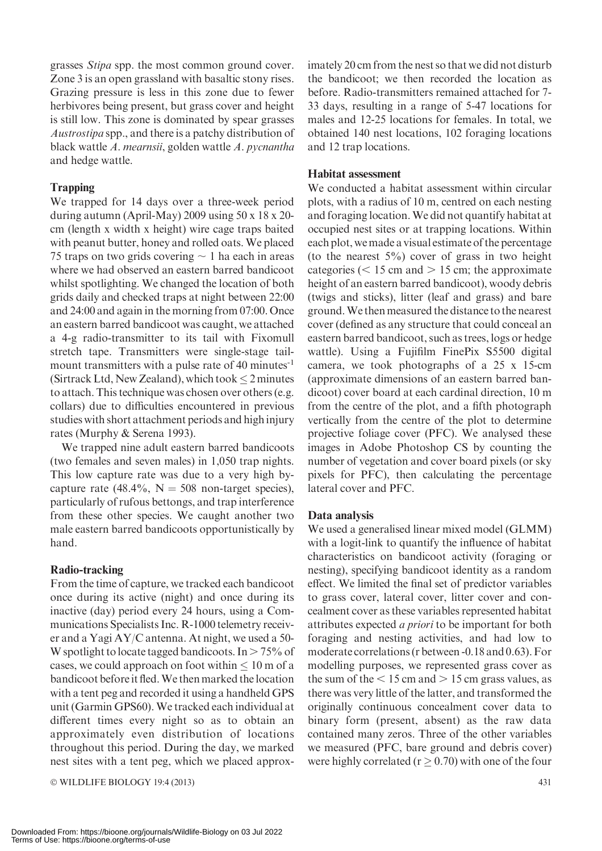grasses Stipa spp. the most common ground cover. Zone 3 is an open grassland with basaltic stony rises. Grazing pressure is less in this zone due to fewer herbivores being present, but grass cover and height is still low. This zone is dominated by spear grasses Austrostipa spp., and there is a patchy distribution of black wattle A. mearnsii, golden wattle A. pycnantha and hedge wattle.

# **Trapping**

We trapped for 14 days over a three-week period during autumn (April-May) 2009 using 50 x 18 x 20 cm (length x width x height) wire cage traps baited with peanut butter, honey and rolled oats.We placed 75 traps on two grids covering  $\sim$  1 ha each in areas where we had observed an eastern barred bandicoot whilst spotlighting. We changed the location of both grids daily and checked traps at night between 22:00 and 24:00 and again in the morning from 07:00. Once an eastern barred bandicoot was caught, we attached a 4-g radio-transmitter to its tail with Fixomull stretch tape. Transmitters were single-stage tailmount transmitters with a pulse rate of 40 minutes<sup>-1</sup> (Sirtrack Ltd, New Zealand), which took  $\leq$  2 minutes to attach. This technique was chosen over others (e.g. collars) due to difficulties encountered in previous studies with short attachment periods and high injury rates (Murphy & Serena 1993).

We trapped nine adult eastern barred bandicoots (two females and seven males) in 1,050 trap nights. This low capture rate was due to a very high bycapture rate (48.4%,  $N = 508$  non-target species), particularly of rufous bettongs, and trap interference from these other species. We caught another two male eastern barred bandicoots opportunistically by hand.

## Radio-tracking

From the time of capture, we tracked each bandicoot once during its active (night) and once during its inactive (day) period every 24 hours, using a Communications Specialists Inc. R-1000 telemetry receiver and a Yagi AY/C antenna. At night, we used a 50- W spotlight to locate tagged bandicoots. In  $> 75\%$  of cases, we could approach on foot within  $\leq 10$  m of a bandicoot before it fled.We then marked the location with a tent peg and recorded it using a handheld GPS unit (Garmin GPS60). We tracked each individual at different times every night so as to obtain an approximately even distribution of locations throughout this period. During the day, we marked nest sites with a tent peg, which we placed approx-

© WILDLIFE BIOLOGY 19:4 (2013) 431

imately 20 cm from the nest so that we did not disturb the bandicoot; we then recorded the location as before. Radio-transmitters remained attached for 7- 33 days, resulting in a range of 5-47 locations for males and 12-25 locations for females. In total, we obtained 140 nest locations, 102 foraging locations and 12 trap locations.

# Habitat assessment

We conducted a habitat assessment within circular plots, with a radius of 10 m, centred on each nesting and foraging location.We did not quantify habitat at occupied nest sites or at trapping locations. Within each plot, wemade a visual estimate of the percentage (to the nearest  $5\%$ ) cover of grass in two height categories ( $<$  15 cm and  $>$  15 cm; the approximate height of an eastern barred bandicoot), woody debris (twigs and sticks), litter (leaf and grass) and bare ground.We then measured the distance to the nearest cover (defined as any structure that could conceal an eastern barred bandicoot, such as trees, logs or hedge wattle). Using a Fujifilm FinePix S5500 digital camera, we took photographs of a 25 x 15-cm (approximate dimensions of an eastern barred bandicoot) cover board at each cardinal direction, 10 m from the centre of the plot, and a fifth photograph vertically from the centre of the plot to determine projective foliage cover (PFC). We analysed these images in Adobe Photoshop CS by counting the number of vegetation and cover board pixels (or sky pixels for PFC), then calculating the percentage lateral cover and PFC.

## Data analysis

We used a generalised linear mixed model (GLMM) with a logit-link to quantify the influence of habitat characteristics on bandicoot activity (foraging or nesting), specifying bandicoot identity as a random effect. We limited the final set of predictor variables to grass cover, lateral cover, litter cover and concealment cover as these variables represented habitat attributes expected a priori to be important for both foraging and nesting activities, and had low to moderate correlations (r between -0.18 and 0.63). For modelling purposes, we represented grass cover as the sum of the  $< 15$  cm and  $> 15$  cm grass values, as there was very little of the latter, and transformed the originally continuous concealment cover data to binary form (present, absent) as the raw data contained many zeros. Three of the other variables we measured (PFC, bare ground and debris cover) were highly correlated ( $r \ge 0.70$ ) with one of the four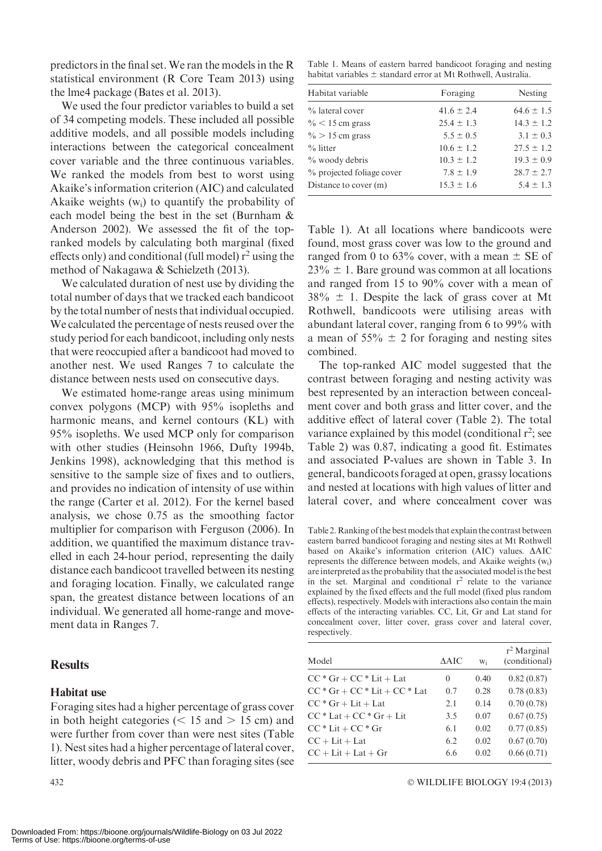predictors in the final set. We ran the models in the R statistical environment (R Core Team 2013) using the lme4 package (Bates et al. 2013).

We used the four predictor variables to build a set of 34 competing models. These included all possible additive models, and all possible models including interactions between the categorical concealment cover variable and the three continuous variables. We ranked the models from best to worst using Akaike's information criterion (AIC) and calculated Akaike weights  $(w_i)$  to quantify the probability of each model being the best in the set (Burnham & Anderson 2002). We assessed the fit of the topranked models by calculating both marginal (fixed effects only) and conditional (full model)  $r^2$  using the method of Nakagawa & Schielzeth (2013).

We calculated duration of nest use by dividing the total number of days that we tracked each bandicoot by the total number of nests that individual occupied. We calculated the percentage of nests reused over the study period for each bandicoot, including only nests that were reoccupied after a bandicoot had moved to another nest. We used Ranges 7 to calculate the distance between nests used on consecutive days.

We estimated home-range areas using minimum convex polygons (MCP) with 95% isopleths and harmonic means, and kernel contours (KL) with 95% isopleths. We used MCP only for comparison with other studies (Heinsohn 1966, Dufty 1994b, Jenkins 1998), acknowledging that this method is sensitive to the sample size of fixes and to outliers, and provides no indication of intensity of use within the range (Carter et al. 2012). For the kernel based analysis, we chose 0.75 as the smoothing factor multiplier for comparison with Ferguson (2006). In addition, we quantified the maximum distance travelled in each 24-hour period, representing the daily distance each bandicoot travelled between its nesting and foraging location. Finally, we calculated range span, the greatest distance between locations of an individual. We generated all home-range and movement data in Ranges 7.

# **Results**

#### Habitat use

Foraging sites had a higher percentage of grass cover in both height categories ( $<$  15 and  $>$  15 cm) and were further from cover than were nest sites (Table 1). Nest sites had a higher percentage of lateral cover, litter, woody debris and PFC than foraging sites (see

Table 1. Means of eastern barred bandicoot foraging and nesting habitat variables  $\pm$  standard error at Mt Rothwell, Australia.

| Habitat variable          | Foraging       | Nesting        |
|---------------------------|----------------|----------------|
| % lateral cover           | $41.6 \pm 2.4$ | $64.6 \pm 1.5$ |
| $\%$ < 15 cm grass        | $25.4 \pm 1.3$ | $14.3 \pm 1.2$ |
| $\% > 15$ cm grass        | $5.5 \pm 0.5$  | $3.1 \pm 0.3$  |
| $%$ litter                | $10.6 \pm 1.2$ | $27.5 \pm 1.2$ |
| $\%$ woody debris         | $10.3 \pm 1.2$ | $19.3 \pm 0.9$ |
| % projected foliage cover | $7.8 \pm 1.9$  | $28.7 \pm 2.7$ |
| Distance to cover (m)     | $15.3 \pm 1.6$ | $5.4 \pm 1.3$  |

Table 1). At all locations where bandicoots were found, most grass cover was low to the ground and ranged from 0 to 63% cover, with a mean  $\pm$  SE of  $23\% \pm 1$ . Bare ground was common at all locations and ranged from 15 to 90% cover with a mean of  $38\% \pm 1$ . Despite the lack of grass cover at Mt Rothwell, bandicoots were utilising areas with abundant lateral cover, ranging from 6 to 99% with a mean of  $55\% \pm 2$  for foraging and nesting sites combined.

The top-ranked AIC model suggested that the contrast between foraging and nesting activity was best represented by an interaction between concealment cover and both grass and litter cover, and the additive effect of lateral cover (Table 2). The total variance explained by this model (conditional  $r^2$ ; see Table 2) was 0.87, indicating a good fit. Estimates and associated P-values are shown in Table 3. In general, bandicoots foraged at open, grassy locations and nested at locations with high values of litter and lateral cover, and where concealment cover was

Table 2. Ranking of the bestmodels that explain the contrast between eastern barred bandicoot foraging and nesting sites at Mt Rothwell based on Akaike's information criterion (AIC) values.  $\triangle AIC$ represents the difference between models, and Akaike weights (wi) are interpreted as the probability that the associated model is the best in the set. Marginal and conditional  $r^2$  relate to the variance explained by the fixed effects and the full model (fixed plus random effects), respectively. Models with interactions also contain the main effects of the interacting variables. CC, Lit, Gr and Lat stand for concealment cover, litter cover, grass cover and lateral cover, respectively.

| Model                           | AAIC | W;   | $r^2$ Marginal<br>(conditional) |
|---------------------------------|------|------|---------------------------------|
| $CC * Gr + CC * Lit + Lat$      | 0    | 0.40 | 0.82(0.87)                      |
| $CC * Gr + CC * Lit + CC * Lat$ | 0.7  | 0.28 | 0.78(0.83)                      |
| $CC * Gr + Lit + Lat$           | 2.1  | 0.14 | 0.70(0.78)                      |
| $CC * Lat + CC * Gr + Lit$      | 3.5  | 0.07 | 0.67(0.75)                      |
| $CC * Lit + CC * Gr$            | 6.1  | 0.02 | 0.77(0.85)                      |
| $CC + Lit + Lat$                | 6.2  | 0.02 | 0.67(0.70)                      |
| $CC + Lit + Lat + Gr$           | 6.6  | 0.02 | 0.66(0.71)                      |
|                                 |      |      |                                 |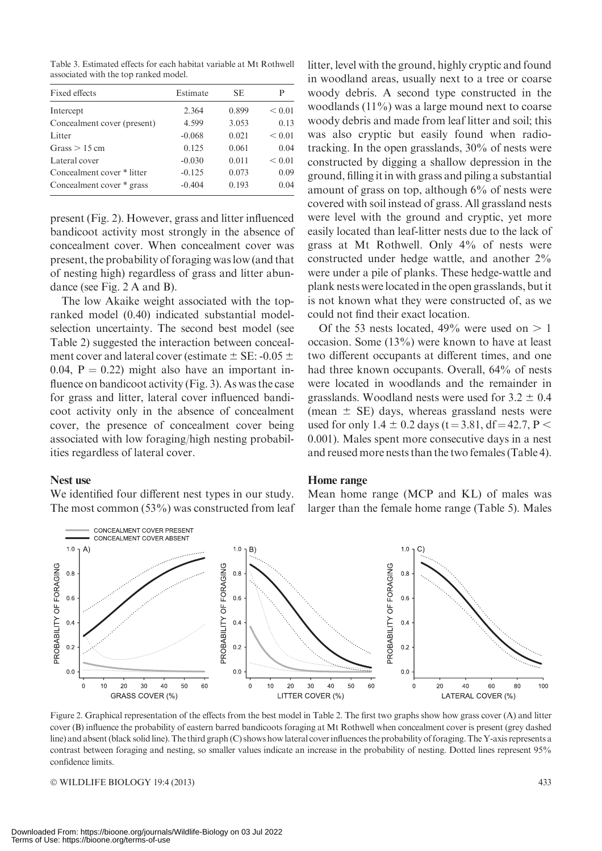Table 3. Estimated effects for each habitat variable at Mt Rothwell associated with the top ranked model.

| Fixed effects               | Estimate | SE.   | P      |
|-----------------------------|----------|-------|--------|
| Intercept                   | 2.364    | 0.899 | < 0.01 |
| Concealment cover (present) | 4.599    | 3.053 | 0.13   |
| Litter                      | $-0.068$ | 0.021 | < 0.01 |
| Grass $> 15$ cm             | 0.125    | 0.061 | 0.04   |
| Lateral cover               | $-0.030$ | 0.011 | < 0.01 |
| Concealment cover * litter  | $-0.125$ | 0.073 | 0.09   |
| Concealment cover * grass   | $-0.404$ | 0.193 | 0.04   |

present (Fig. 2). However, grass and litter influenced bandicoot activity most strongly in the absence of concealment cover. When concealment cover was present, the probability of foraging was low (and that of nesting high) regardless of grass and litter abundance (see Fig. 2 A and B).

The low Akaike weight associated with the topranked model (0.40) indicated substantial modelselection uncertainty. The second best model (see Table 2) suggested the interaction between concealment cover and lateral cover (estimate  $\pm$  SE: -0.05  $\pm$ 0.04,  $P = 0.22$ ) might also have an important influence on bandicoot activity (Fig. 3). As was the case for grass and litter, lateral cover influenced bandicoot activity only in the absence of concealment cover, the presence of concealment cover being associated with low foraging/high nesting probabilities regardless of lateral cover.

#### Nest use

We identified four different nest types in our study. The most common  $(53\%)$  was constructed from leaf

litter, level with the ground, highly cryptic and found in woodland areas, usually next to a tree or coarse woody debris. A second type constructed in the woodlands (11%) was a large mound next to coarse woody debris and made from leaf litter and soil; this was also cryptic but easily found when radiotracking. In the open grasslands, 30% of nests were constructed by digging a shallow depression in the ground, filling it in with grass and piling a substantial amount of grass on top, although 6% of nests were covered with soil instead of grass. All grassland nests were level with the ground and cryptic, yet more easily located than leaf-litter nests due to the lack of grass at Mt Rothwell. Only 4% of nests were constructed under hedge wattle, and another 2% were under a pile of planks. These hedge-wattle and plank nests were located in the open grasslands, but it is not known what they were constructed of, as we could not find their exact location.

Of the 53 nests located,  $49\%$  were used on  $> 1$ occasion. Some (13%) were known to have at least two different occupants at different times, and one had three known occupants. Overall, 64% of nests were located in woodlands and the remainder in grasslands. Woodland nests were used for  $3.2 \pm 0.4$ (mean  $\pm$  SE) days, whereas grassland nests were used for only  $1.4 \pm 0.2$  days (t = 3.81, df = 42.7, P < 0.001). Males spent more consecutive days in a nest and reused more nests than the two females (Table 4).

#### Home range

Mean home range (MCP and KL) of males was larger than the female home range (Table 5). Males



Figure 2. Graphical representation of the effects from the best model in Table 2. The first two graphs show how grass cover (A) and litter cover (B) influence the probability of eastern barred bandicoots foraging at Mt Rothwell when concealment cover is present (grey dashed line) and absent (black solid line). The third graph (C) shows how lateral cover influences the probability offoraging. The Y-axis represents a contrast between foraging and nesting, so smaller values indicate an increase in the probability of nesting. Dotted lines represent 95% confidence limits.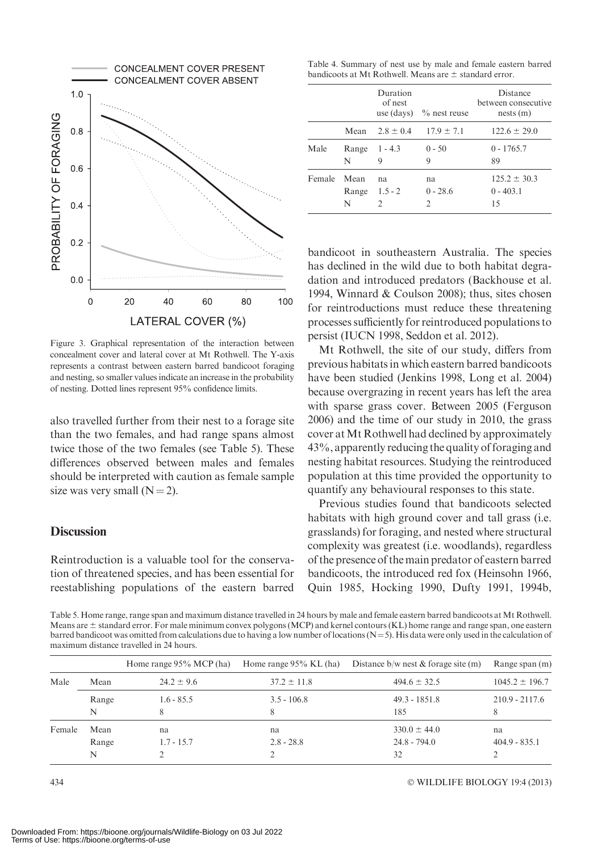

Figure 3. Graphical representation of the interaction between concealment cover and lateral cover at Mt Rothwell. The Y-axis represents a contrast between eastern barred bandicoot foraging and nesting, so smaller values indicate an increase in the probability of nesting. Dotted lines represent 95% confidence limits.

also travelled further from their nest to a forage site than the two females, and had range spans almost twice those of the two females (see Table 5). These differences observed between males and females should be interpreted with caution as female sample size was very small  $(N=2)$ .

## **Discussion**

Reintroduction is a valuable tool for the conservation of threatened species, and has been essential for reestablishing populations of the eastern barred

Table 4. Summary of nest use by male and female eastern barred bandicoots at Mt Rothwell. Means are  $\pm$  standard error.

|        |                    | Duration<br>of nest  | use (days) $\%$ nest reuse        | Distance<br>between consecutive<br>nests(m) |
|--------|--------------------|----------------------|-----------------------------------|---------------------------------------------|
|        |                    |                      | Mean $2.8 \pm 0.4$ $17.9 \pm 7.1$ | $122.6 \pm 29.0$                            |
| Male   | N                  | Range 1 - 4.3<br>9   | $0 - 50$<br>Q                     | $0 - 1765.7$<br>89                          |
| Female | Mean<br>Range<br>N | na<br>$1.5 - 2$<br>2 | na<br>$0 - 28.6$                  | $125.2 \pm 30.3$<br>$0 - 403.1$<br>15       |

bandicoot in southeastern Australia. The species has declined in the wild due to both habitat degradation and introduced predators (Backhouse et al. 1994, Winnard & Coulson 2008); thus, sites chosen for reintroductions must reduce these threatening processes sufficiently for reintroduced populations to persist (IUCN 1998, Seddon et al. 2012).

Mt Rothwell, the site of our study, differs from previous habitats in which eastern barred bandicoots have been studied (Jenkins 1998, Long et al. 2004) because overgrazing in recent years has left the area with sparse grass cover. Between 2005 (Ferguson 2006) and the time of our study in 2010, the grass cover at Mt Rothwell had declined by approximately 43%, apparently reducing the quality of foraging and nesting habitat resources. Studying the reintroduced population at this time provided the opportunity to quantify any behavioural responses to this state.

Previous studies found that bandicoots selected habitats with high ground cover and tall grass (i.e. grasslands) for foraging, and nested where structural complexity was greatest (i.e. woodlands), regardless of the presence of the main predator of eastern barred bandicoots, the introduced red fox (Heinsohn 1966, Quin 1985, Hocking 1990, Dufty 1991, 1994b,

Table 5. Home range, range span and maximum distance travelled in 24 hours by male and female eastern barred bandicoots at Mt Rothwell. Means are ± standard error. For male minimum convex polygons (MCP) and kernel contours (KL) home range and range span, one eastern barred bandicoot was omitted from calculations due to having a low number of locations ( $N=5$ ). His data were only used in the calculation of maximum distance travelled in 24 hours.

|        |       | Home range 95% MCP (ha) | Home range 95% KL (ha) | Distance $b/w$ nest & forage site (m) | Range span (m)     |
|--------|-------|-------------------------|------------------------|---------------------------------------|--------------------|
| Male   | Mean  | $24.2 \pm 9.6$          | $37.2 \pm 11.8$        | $494.6 \pm 32.5$                      | $1045.2 \pm 196.7$ |
|        | Range | $1.6 - 85.5$            | $3.5 - 106.8$          | $49.3 - 1851.8$                       | $210.9 - 2117.6$   |
|        | N     | 8                       | 8                      | 185                                   | 8                  |
| Female | Mean  | na                      | na                     | $330.0 \pm 44.0$                      | na.                |
|        | Range | $1.7 - 15.7$            | $2.8 - 28.8$           | $24.8 - 794.0$                        | $404.9 - 835.1$    |
|        | N     |                         |                        | 32                                    |                    |

WILDLIFE BIOLOGY 19:4 (2013)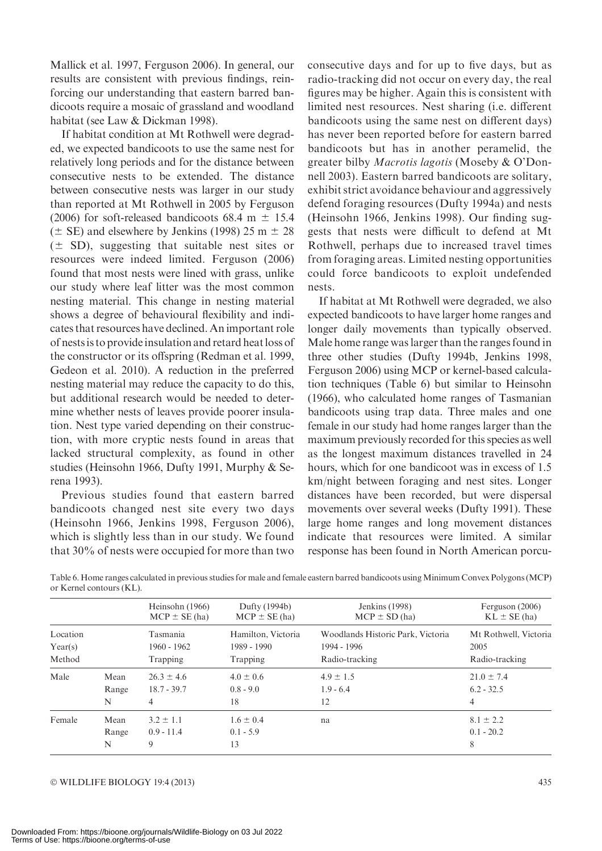Mallick et al. 1997, Ferguson 2006). In general, our results are consistent with previous findings, reinforcing our understanding that eastern barred bandicoots require a mosaic of grassland and woodland habitat (see Law & Dickman 1998).

If habitat condition at Mt Rothwell were degraded, we expected bandicoots to use the same nest for relatively long periods and for the distance between consecutive nests to be extended. The distance between consecutive nests was larger in our study than reported at Mt Rothwell in 2005 by Ferguson (2006) for soft-released bandicoots 68.4 m  $\pm$  15.4  $(\pm$  SE) and elsewhere by Jenkins (1998) 25 m  $\pm$  28  $(\pm S$ D), suggesting that suitable nest sites or resources were indeed limited. Ferguson (2006) found that most nests were lined with grass, unlike our study where leaf litter was the most common nesting material. This change in nesting material shows a degree of behavioural flexibility and indicates that resources have declined. An important role of nestsis to provide insulation and retard heatloss of the constructor or its offspring (Redman et al. 1999, Gedeon et al. 2010). A reduction in the preferred nesting material may reduce the capacity to do this, but additional research would be needed to determine whether nests of leaves provide poorer insulation. Nest type varied depending on their construction, with more cryptic nests found in areas that lacked structural complexity, as found in other studies (Heinsohn 1966, Dufty 1991, Murphy & Serena 1993).

Previous studies found that eastern barred bandicoots changed nest site every two days (Heinsohn 1966, Jenkins 1998, Ferguson 2006), which is slightly less than in our study. We found that 30% of nests were occupied for more than two consecutive days and for up to five days, but as radio-tracking did not occur on every day, the real figures may be higher. Again this is consistent with limited nest resources. Nest sharing (i.e. different bandicoots using the same nest on different days) has never been reported before for eastern barred bandicoots but has in another peramelid, the greater bilby Macrotis lagotis (Moseby & O'Donnell 2003). Eastern barred bandicoots are solitary, exhibit strict avoidance behaviour and aggressively defend foraging resources (Dufty 1994a) and nests (Heinsohn 1966, Jenkins 1998). Our finding suggests that nests were difficult to defend at Mt Rothwell, perhaps due to increased travel times from foraging areas. Limited nesting opportunities could force bandicoots to exploit undefended nests.

If habitat at Mt Rothwell were degraded, we also expected bandicoots to have larger home ranges and longer daily movements than typically observed. Male home range was larger than the ranges found in three other studies (Dufty 1994b, Jenkins 1998, Ferguson 2006) using MCP or kernel-based calculation techniques (Table 6) but similar to Heinsohn (1966), who calculated home ranges of Tasmanian bandicoots using trap data. Three males and one female in our study had home ranges larger than the maximum previously recorded for this species as well as the longest maximum distances travelled in 24 hours, which for one bandicoot was in excess of 1.5 km/night between foraging and nest sites. Longer distances have been recorded, but were dispersal movements over several weeks (Dufty 1991). These large home ranges and long movement distances indicate that resources were limited. A similar response has been found in North American porcu-

|          |                    | Heinsohn (1966)<br>$MCP \pm SE(ha)$ | Dufty (1994b)<br>$MCP \pm SE(ha)$  | Jenkins (1998)<br>$MCP \pm SD(ha)$ | Ferguson (2006)<br>$KL \pm SE(ha)$ |
|----------|--------------------|-------------------------------------|------------------------------------|------------------------------------|------------------------------------|
| Location |                    | Tasmania                            | Hamilton, Victoria                 | Woodlands Historic Park, Victoria  | Mt Rothwell, Victoria              |
| Year(s)  |                    | $1960 - 1962$                       | 1989 - 1990                        | 1994 - 1996                        | 2005                               |
| Method   |                    | Trapping                            | Trapping                           | Radio-tracking                     | Radio-tracking                     |
| Male     | Mean               | $26.3 \pm 4.6$                      | $4.0 \pm 0.6$                      | $4.9 \pm 1.5$                      | $21.0 \pm 7.4$                     |
|          | Range              | $18.7 - 39.7$                       | $0.8 - 9.0$                        | $1.9 - 6.4$                        | $6.2 - 32.5$                       |
|          | N                  | 4                                   | 18                                 | 12                                 | 4                                  |
| Female   | Mean<br>Range<br>N | $3.2 \pm 1.1$<br>$0.9 - 11.4$<br>9  | $1.6 \pm 0.4$<br>$0.1 - 5.9$<br>13 | na                                 | $8.1 \pm 2.2$<br>$0.1 - 20.2$<br>8 |

Table 6. Home ranges calculated in previous studies for male and female eastern barred bandicoots using Minimum Convex Polygons (MCP) or Kernel contours (KL).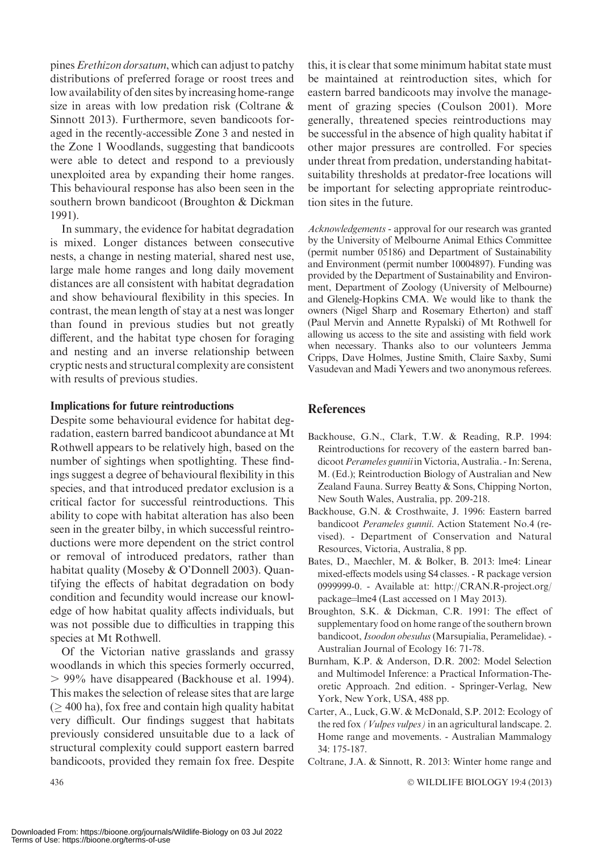pines *Erethizon dorsatum*, which can adjust to patchy distributions of preferred forage or roost trees and low availability of den sites by increasing home-range size in areas with low predation risk (Coltrane & Sinnott 2013). Furthermore, seven bandicoots foraged in the recently-accessible Zone 3 and nested in the Zone 1 Woodlands, suggesting that bandicoots were able to detect and respond to a previously unexploited area by expanding their home ranges. This behavioural response has also been seen in the southern brown bandicoot (Broughton & Dickman 1991).

In summary, the evidence for habitat degradation is mixed. Longer distances between consecutive nests, a change in nesting material, shared nest use, large male home ranges and long daily movement distances are all consistent with habitat degradation and show behavioural flexibility in this species. In contrast, the mean length of stay at a nest was longer than found in previous studies but not greatly different, and the habitat type chosen for foraging and nesting and an inverse relationship between cryptic nests and structural complexity are consistent with results of previous studies.

#### Implications for future reintroductions

Despite some behavioural evidence for habitat degradation, eastern barred bandicoot abundance at Mt Rothwell appears to be relatively high, based on the number of sightings when spotlighting. These findings suggest a degree of behavioural flexibility in this species, and that introduced predator exclusion is a critical factor for successful reintroductions. This ability to cope with habitat alteration has also been seen in the greater bilby, in which successful reintroductions were more dependent on the strict control or removal of introduced predators, rather than habitat quality (Moseby & O'Donnell 2003). Quantifying the effects of habitat degradation on body condition and fecundity would increase our knowledge of how habitat quality affects individuals, but was not possible due to difficulties in trapping this species at Mt Rothwell.

Of the Victorian native grasslands and grassy woodlands in which this species formerly occurred, . 99% have disappeared (Backhouse et al. 1994). This makes the selection of release sites that are large  $($   $>$  400 ha), fox free and contain high quality habitat very difficult. Our findings suggest that habitats previously considered unsuitable due to a lack of structural complexity could support eastern barred bandicoots, provided they remain fox free. Despite

this, it is clear that some minimum habitat state must be maintained at reintroduction sites, which for eastern barred bandicoots may involve the management of grazing species (Coulson 2001). More generally, threatened species reintroductions may be successful in the absence of high quality habitat if other major pressures are controlled. For species under threat from predation, understanding habitatsuitability thresholds at predator-free locations will be important for selecting appropriate reintroduction sites in the future.

Acknowledgements - approval for our research was granted by the University of Melbourne Animal Ethics Committee (permit number 05186) and Department of Sustainability and Environment (permit number 10004897). Funding was provided by the Department of Sustainability and Environment, Department of Zoology (University of Melbourne) and Glenelg-Hopkins CMA. We would like to thank the owners (Nigel Sharp and Rosemary Etherton) and staff (Paul Mervin and Annette Rypalski) of Mt Rothwell for allowing us access to the site and assisting with field work when necessary. Thanks also to our volunteers Jemma Cripps, Dave Holmes, Justine Smith, Claire Saxby, Sumi Vasudevan and Madi Yewers and two anonymous referees.

#### **References**

- Backhouse, G.N., Clark, T.W. & Reading, R.P. 1994: Reintroductions for recovery of the eastern barred bandicoot Perameles gunnii in Victoria, Australia. - In: Serena, M. (Ed.); Reintroduction Biology of Australian and New Zealand Fauna. Surrey Beatty & Sons, Chipping Norton, New South Wales, Australia, pp. 209-218.
- Backhouse, G.N. & Crosthwaite, J. 1996: Eastern barred bandicoot Perameles gunnii. Action Statement No.4 (revised). - Department of Conservation and Natural Resources, Victoria, Australia, 8 pp.
- Bates, D., Maechler, M. & Bolker, B. 2013: lme4: Linear mixed-effects models using S4 classes. - R package version 0999999-0. - Available at: http://CRAN.R-project.org/ package=lme4 (Last accessed on 1 May 2013).
- Broughton, S.K. & Dickman, C.R. 1991: The effect of supplementary food on home range of the southern brown bandicoot, Isoodon obesulus (Marsupialia, Peramelidae). -Australian Journal of Ecology 16: 71-78.
- Burnham, K.P. & Anderson, D.R. 2002: Model Selection and Multimodel Inference: a Practical Information-Theoretic Approach. 2nd edition. - Springer-Verlag, New York, New York, USA, 488 pp.
- Carter, A., Luck, G.W. & McDonald, S.P. 2012: Ecology of the red fox (Vulpes vulpes) in an agricultural landscape. 2. Home range and movements. - Australian Mammalogy 34: 175-187.
- Coltrane, J.A. & Sinnott, R. 2013: Winter home range and

WILDLIFE BIOLOGY 19:4 (2013)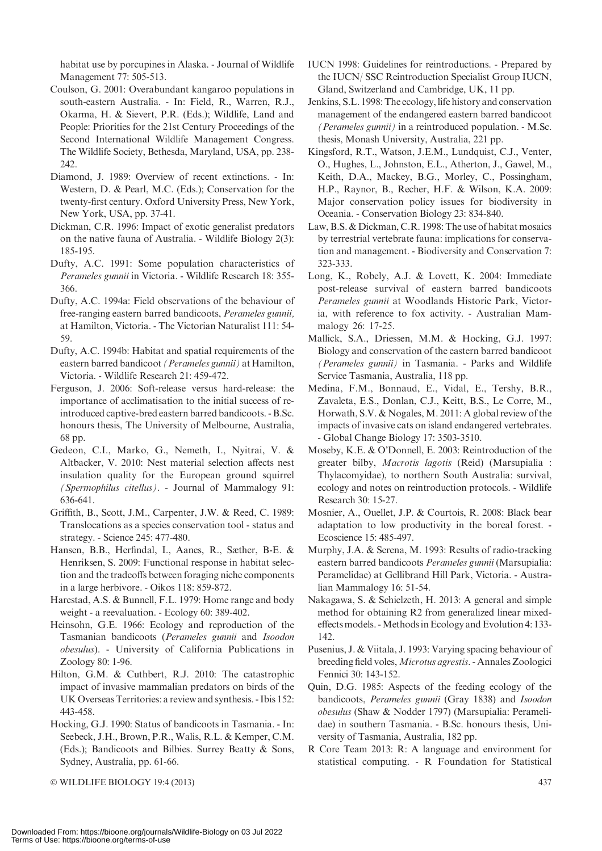habitat use by porcupines in Alaska. - Journal of Wildlife Management 77: 505-513.

- Coulson, G. 2001: Overabundant kangaroo populations in south-eastern Australia. - In: Field, R., Warren, R.J., Okarma, H. & Sievert, P.R. (Eds.); Wildlife, Land and People: Priorities for the 21st Century Proceedings of the Second International Wildlife Management Congress. The Wildlife Society, Bethesda, Maryland, USA, pp. 238- 242.
- Diamond, J. 1989: Overview of recent extinctions. In: Western, D. & Pearl, M.C. (Eds.); Conservation for the twenty-first century. Oxford University Press, New York, New York, USA, pp. 37-41.
- Dickman, C.R. 1996: Impact of exotic generalist predators on the native fauna of Australia. - Wildlife Biology 2(3): 185-195.
- Dufty, A.C. 1991: Some population characteristics of Perameles gunnii in Victoria. - Wildlife Research 18: 355- 366.
- Dufty, A.C. 1994a: Field observations of the behaviour of free-ranging eastern barred bandicoots, Perameles gunnii, at Hamilton, Victoria. - The Victorian Naturalist 111: 54- 59.
- Dufty, A.C. 1994b: Habitat and spatial requirements of the eastern barred bandicoot (Perameles gunnii) at Hamilton, Victoria. - Wildlife Research 21: 459-472.
- Ferguson, J. 2006: Soft-release versus hard-release: the importance of acclimatisation to the initial success of reintroduced captive-bred eastern barred bandicoots. - B.Sc. honours thesis, The University of Melbourne, Australia, 68 pp.
- Gedeon, C.I., Marko, G., Nemeth, I., Nyitrai, V. & Altbacker, V. 2010: Nest material selection affects nest insulation quality for the European ground squirrel (Spermophilus citellus). - Journal of Mammalogy 91: 636-641.
- Griffith, B., Scott, J.M., Carpenter, J.W. & Reed, C. 1989: Translocations as a species conservation tool - status and strategy. - Science 245: 477-480.
- Hansen, B.B., Herfindal, I., Aanes, R., Sæther, B-E. & Henriksen, S. 2009: Functional response in habitat selection and the tradeoffs between foraging niche components in a large herbivore. - Oikos 118: 859-872.
- Harestad, A.S. & Bunnell, F.L. 1979: Home range and body weight - a reevaluation. - Ecology 60: 389-402.
- Heinsohn, G.E. 1966: Ecology and reproduction of the Tasmanian bandicoots (Perameles gunnii and Isoodon obesulus). - University of California Publications in Zoology 80: 1-96.
- Hilton, G.M. & Cuthbert, R.J. 2010: The catastrophic impact of invasive mammalian predators on birds of the UK Overseas Territories: a review and synthesis. - Ibis 152: 443-458.
- Hocking, G.J. 1990: Status of bandicoots in Tasmania. In: Seebeck, J.H., Brown, P.R., Walis, R.L. & Kemper, C.M. (Eds.); Bandicoots and Bilbies. Surrey Beatty & Sons, Sydney, Australia, pp. 61-66.

© WILDLIFE BIOLOGY 19:4 (2013) 437

- IUCN 1998: Guidelines for reintroductions. Prepared by the IUCN/ SSC Reintroduction Specialist Group IUCN, Gland, Switzerland and Cambridge, UK, 11 pp.
- Jenkins, S.L. 1998: The ecology, life history and conservation management of the endangered eastern barred bandicoot (Perameles gunnii) in a reintroduced population. - M.Sc. thesis, Monash University, Australia, 221 pp.
- Kingsford, R.T., Watson, J.E.M., Lundquist, C.J., Venter, O., Hughes, L., Johnston, E.L., Atherton, J., Gawel, M., Keith, D.A., Mackey, B.G., Morley, C., Possingham, H.P., Raynor, B., Recher, H.F. & Wilson, K.A. 2009: Major conservation policy issues for biodiversity in Oceania. - Conservation Biology 23: 834-840.
- Law, B.S. & Dickman, C.R. 1998: The use of habitat mosaics by terrestrial vertebrate fauna: implications for conservation and management. - Biodiversity and Conservation 7: 323-333.
- Long, K., Robely, A.J. & Lovett, K. 2004: Immediate post-release survival of eastern barred bandicoots Perameles gunnii at Woodlands Historic Park, Victoria, with reference to fox activity. - Australian Mammalogy 26: 17-25.
- Mallick, S.A., Driessen, M.M. & Hocking, G.J. 1997: Biology and conservation of the eastern barred bandicoot (Perameles gunnii) in Tasmania. - Parks and Wildlife Service Tasmania, Australia, 118 pp.
- Medina, F.M., Bonnaud, E., Vidal, E., Tershy, B.R., Zavaleta, E.S., Donlan, C.J., Keitt, B.S., Le Corre, M., Horwath, S.V. & Nogales, M. 2011: A global review of the impacts of invasive cats on island endangered vertebrates. - Global Change Biology 17: 3503-3510.
- Moseby, K.E. & O'Donnell, E. 2003: Reintroduction of the greater bilby, Macrotis lagotis (Reid) (Marsupialia : Thylacomyidae), to northern South Australia: survival, ecology and notes on reintroduction protocols. - Wildlife Research 30: 15-27.
- Mosnier, A., Ouellet, J.P. & Courtois, R. 2008: Black bear adaptation to low productivity in the boreal forest. - Ecoscience 15: 485-497.
- Murphy, J.A. & Serena, M. 1993: Results of radio-tracking eastern barred bandicoots Perameles gunnii (Marsupialia: Peramelidae) at Gellibrand Hill Park, Victoria. - Australian Mammalogy 16: 51-54.
- Nakagawa, S. & Schielzeth, H. 2013: A general and simple method for obtaining R2 from generalized linear mixedeffectsmodels. -Methods in Ecology and Evolution 4: 133- 142.
- Pusenius, J. & Viitala, J. 1993: Varying spacing behaviour of breeding field voles, Microtus agrestis. - Annales Zoologici Fennici 30: 143-152.
- Quin, D.G. 1985: Aspects of the feeding ecology of the bandicoots, Perameles gunnii (Gray 1838) and Isoodon obesulus (Shaw & Nodder 1797) (Marsupialia: Peramelidae) in southern Tasmania. - B.Sc. honours thesis, University of Tasmania, Australia, 182 pp.
- R Core Team 2013: R: A language and environment for statistical computing. - R Foundation for Statistical